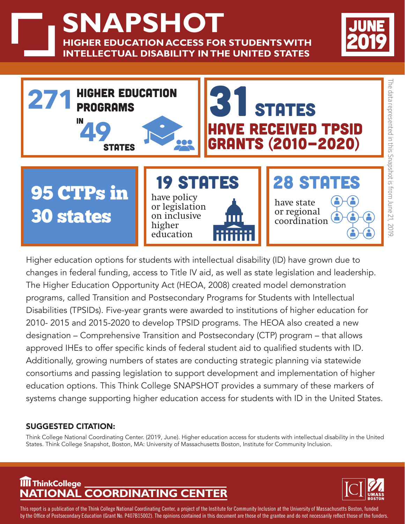**NAPSHOT HIGHER EDUCATION ACCESS FOR STUDENTS WITH INTELLECTUAL DISABILITY IN THE UNITED STATES**





Higher education options for students with intellectual disability (ID) have grown due to changes in federal funding, access to Title IV aid, as well as state legislation and leadership. The Higher Education Opportunity Act (HEOA, 2008) created model demonstration programs, called Transition and Postsecondary Programs for Students with Intellectual Disabilities (TPSIDs). Five-year grants were awarded to institutions of higher education for 2010- 2015 and 2015-2020 to develop TPSID programs. The HEOA also created a new designation – Comprehensive Transition and Postsecondary (CTP) program – that allows approved IHEs to offer specific kinds of federal student aid to qualified students with ID. Additionally, growing numbers of states are conducting strategic planning via statewide consortiums and passing legislation to support development and implementation of higher education options. This Think College SNAPSHOT provides a summary of these markers of systems change supporting higher education access for students with ID in the United States.

## SUGGESTED CITATION:

Think College National Coordinating Center. (2019, June). Higher education access for students with intellectual disability in the United States. Think College Snapshot, Boston, MA: University of Massachusetts Boston, Institute for Community Inclusion.

## **NATIONAL COORDINATING CENTER ThinkCollege**



This report is a publication of the Think College National Coordinating Center, a project of the Institute for Community Inclusion at the University of Massachusetts Boston, funded